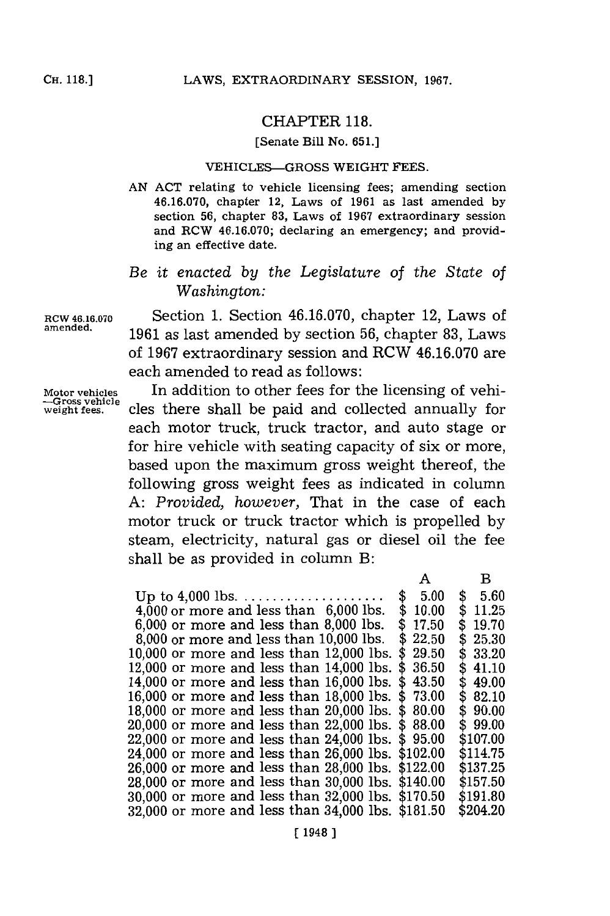## CHAPTER **118.**

## [Senate Bill No. **651.]**

## VEHICLES-GROSS WEIGHT **FEES.**

**AN ACT** relating to vehicle licensing fees; amending section **46.16.070,** chapter 12, Laws of **1961** as last amended **by** section **56,** chapter **83,** Laws of **1967** extraordinary session and RCW **46.16.070;** declaring an emergency; and providing an effective date.

## *Be it enacted by the Legislature of the State of Washington:*

**RCW 46.16.070** Section **1.** Section **46.16.070,** chapter 12, Laws of amended. **1961** as last amended **by** section **56,** chapter **83,** Laws of **1967** extraordinary session and RCW **46.16.070** are each amended to read as follows:

**-Gross vehicle**

**Motor vehicles** In addition to other fees for the licensing of vehi cles there shall be paid and collected annually for each motor truck, truck tractor, and auto stage or for hire vehicle with seating capacity of six or more, based upon the maximum gross weight thereof, the following gross weight fees as indicated in column **A:** *Provided, however,* That in the case of each motor truck or truck tractor which is propelled **by** steam, electricity, natural gas or diesel oil the fee shall be as provided in column B:

|                                                   |            | в          |
|---------------------------------------------------|------------|------------|
|                                                   | 5.00       | \$<br>5.60 |
| $4,000$ or more and less than $6,000$ lbs.        | 10.00<br>S | \$11.25    |
| $6,000$ or more and less than $8,000$ lbs.        | 17.50      | \$19.70    |
| 8,000 or more and less than 10,000 lbs.           | 22.50      | \$25.30    |
| $10,\!000$ or more and less than $12,\!000$ lbs.  | 29.50<br>S | \$33.20    |
| $12,\!000$ or more and less than $14,\!000$ lbs.  | \$36.50    | \$41.10    |
| 14,000 or more and less than 16,000 lbs.          | \$43.50    | \$49.00    |
| 16,000 or more and less than 18,000 lbs.          | \$73.00    | \$82.10    |
| $18{,}000$ or more and less than $20{,}000$ lbs.  | \$80.00    | \$90.00    |
| 20,000 or more and less than 22,000 lbs.          | \$88.00    | \$99.00    |
| 22,000 or more and less than 24,000 lbs.          | \$95.00    | \$107.00   |
| 24,000 or more and less than 26,000 lbs. \$102.00 |            | \$114.75   |
| 26,000 or more and less than 28,000 lbs. \$122.00 |            | \$137.25   |
| 28,000 or more and less than 30,000 lbs. \$140.00 |            | \$157.50   |
| 30,000 or more and less than 32,000 lbs. \$170.50 |            | \$191.80   |
| 32.000 or more and less than 34.000 lbs. \$181.50 |            | \$204.20   |